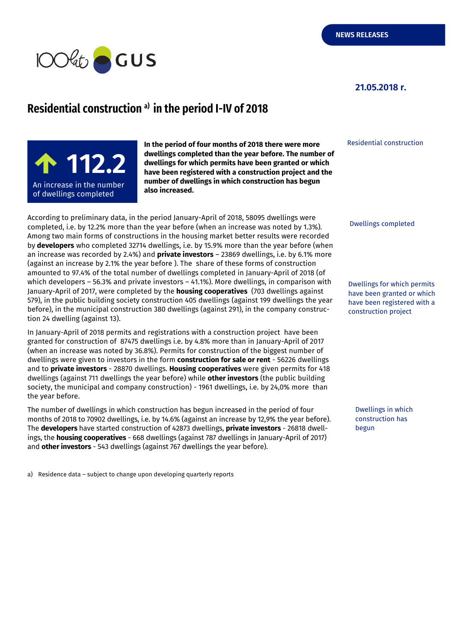

#### **21.05.2018 r.**

# **Residentialconstruction a) in the period I-IV of 2018**

**100,5** <sup>99</sup>**112.2** An increase in the number  $\hspace{0.1mm}$ of dwellings completed  $\qquad$ 

**In the period of four months of 2018 there were more dwellings completed than the year before. The number of dwellings for which permits have been granted or which have been registered with a construction project and the number of dwellings in which construction has begun also increased.**

According to preliminary data, in the period January-April of 2018, 58095 dwellings were completed, i.e. by 12.2% more than the year before (when an increase was noted by 1.3%). Among two main forms of constructions in the housing market better results were recorded by **developers** who completed 32714 dwellings, i.e. by 15.9% more than the year before (when an increase was recorded by 2.4%) and **private investors** – 23869 dwellings, i.e. by 6.1% more (against an increase by 2.1% the year before ). The share of these forms of construction amounted to 97.4% of the total number of dwellings completed in January-April of 2018 (of which developers – 56.3% and private investors – 41.1%). More dwellings, in comparison with January-April of 2017, were completed by the **housing cooperatives** (703 dwellings against 579), in the public building society construction 405 dwellings (against 199 dwellings the year before), in the municipal construction 380 dwellings (against 291), in the company construction 24 dwelling (against 13).

In January-April of 2018 permits and registrations with a construction project have been granted for construction of 87475 dwellings i.e. by 4.8% more than in January-April of 2017 (when an increase was noted by 36.8%). Permits for construction of the biggest number of dwellings were given to investors in the form **construction for sale or rent** - 56226 dwellings and to **private investors** - 28870 dwellings. **Housing cooperatives** were given permits for 418 dwellings (against 711 dwellings the year before) while **other investors** (the public building society, the municipal and company construction) - 1961 dwellings, i.e. by 24,0% more than the year before.

The number of dwellings in which construction has begun increased in the period of four months of 2018 to 70902 dwellings, i.e. by 14.6% (against an increase by 12,9% the year before). The **developers** have started construction of 42873 dwellings, **private investors** - 26818 dwellings, the **housing cooperatives** - 668 dwellings (against 787 dwellings in January-April of 2017) and **other investors** - 543 dwellings (against 767 dwellings the year before).

a) Residence data – subject to change upon developing quarterly reports

Residential construction

Dwellings completed

Dwellings for which permits have been granted or which have been registered with a construction project

Dwellings in which construction has begun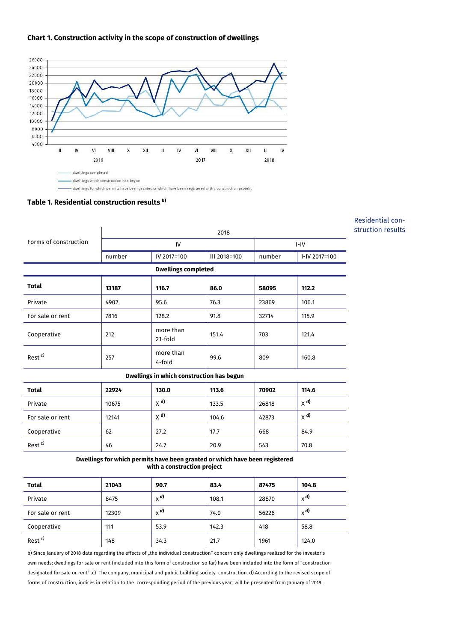## **Chart 1. Construction activity in the scope of construction of dwellings**



dwellings for which permits have been granted or which have been registered with a construction projekt

#### **Table 1. Residential construction results** *<sup>b</sup>***)**

| 2018                                      |                      |              |        |                                                                                 |  |  |  |
|-------------------------------------------|----------------------|--------------|--------|---------------------------------------------------------------------------------|--|--|--|
| IV                                        |                      |              | $I-IV$ |                                                                                 |  |  |  |
| number                                    | IV 2017=100          | III 2018=100 | number | I-IV 2017=100                                                                   |  |  |  |
| <b>Dwellings completed</b>                |                      |              |        |                                                                                 |  |  |  |
| 13187                                     | 116.7                | 86.0         | 58095  | 112.2                                                                           |  |  |  |
| 4902                                      | 95.6                 | 76.3         | 23869  | 106.1                                                                           |  |  |  |
| 7816                                      | 128.2                | 91.8         | 32714  | 115.9                                                                           |  |  |  |
| 212                                       | more than<br>21-fold | 151.4        | 703    | 121.4                                                                           |  |  |  |
| 257                                       | more than<br>4-fold  | 99.6         | 809    | 160.8                                                                           |  |  |  |
| Dwellings in which construction has begun |                      |              |        |                                                                                 |  |  |  |
| 22924                                     | 130.0                | 113.6        | 70902  | 114.6                                                                           |  |  |  |
| 10675                                     | $\chi$ d)            | 133.5        | 26818  | $X$ <sup>d)</sup>                                                               |  |  |  |
| 12141                                     | $X$ <sup>d)</sup>    | 104.6        | 42873  | $X$ <sup>d)</sup>                                                               |  |  |  |
| 62                                        | 27.2                 | 17.7         | 668    | 84.9                                                                            |  |  |  |
| 46                                        | 24.7                 | 20.9         | 543    | 70.8                                                                            |  |  |  |
|                                           |                      |              |        | Durallings far urkisk normits kaus kaan grantad ar urkisk kaus kaan ragistarad. |  |  |  |

Residential construction results

**Dwellings for which permits have been granted or which have been registered with a construction project**

| <b>Total</b>       | 21043 | 90.7    | 83.4  | 87475 | 104.8                  |
|--------------------|-------|---------|-------|-------|------------------------|
| Private            | 8475  | $x^{d}$ | 108.1 | 28870 | $\times$ <sup>d)</sup> |
| For sale or rent   | 12309 | $x^{d}$ | 74.0  | 56226 | $x^{d}$                |
| Cooperative        | 111   | 53.9    | 142.3 | 418   | 58.8                   |
| Rest <sup>c)</sup> | 148   | 34.3    | 21.7  | 1961  | 124.0                  |

b) Since January of 2018 data regarding the effects of "the individual construction" concern only dwellings realized for the investor's own needs; dwellings for sale or rent (included into this form of construction so far) have been included into the form of "construction designated for sale or rent" .c) The company, municipal and public building society construction. d) According to the revised scope of forms of construction, indices in relation to the corresponding period of the previous year will be presented from January of 2019.